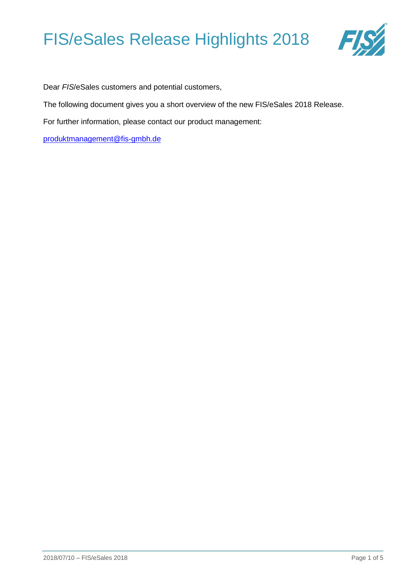

Dear *FIS*/eSales customers and potential customers,

The following document gives you a short overview of the new FIS/eSales 2018 Release.

For further information, please contact our product management:

[produktmanagement@fis-gmbh.de](mailto:produktmanagement@fis-gmbh.de)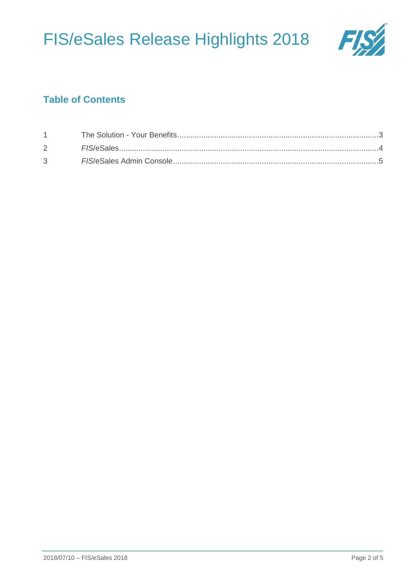

## **Table of Contents**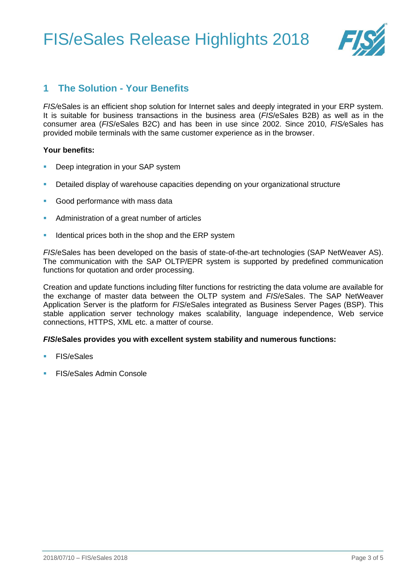

### <span id="page-2-0"></span>**1 The Solution - Your Benefits**

*FIS/*eSales is an efficient shop solution for Internet sales and deeply integrated in your ERP system. It is suitable for business transactions in the business area (*FIS*[/eSales B2B\)](http://fis-gmbh.de/fisesales-b2b.html) as well as in the consumer area (*FIS*[/eSales B2C\)](http://fis-gmbh.de/fisesales-b2c.html) and has been in use since 2002. Since 2010, *FIS/*eSales has provided mobile terminals with the same customer experience as in the browse[r.](http://fis-gmbh.de/fisesales-mobile.html)

#### **Your benefits:**

- Deep integration in your SAP system
- Detailed display of warehouse capacities depending on your organizational structure
- Good performance with mass data
- Administration of a great number of articles
- Identical prices both in the shop and the ERP system

*FIS*/eSales has been developed on the basis of state-of-the-art technologies (SAP NetWeaver AS). The communication with the SAP OLTP/EPR system is supported by predefined communication functions for quotation and order processing.

Creation and update functions including filter functions for restricting the data volume are available for the exchange of master data between the OLTP system and *FIS*/eSales. The SAP NetWeaver Application Server is the platform for *FIS*/eSales integrated as Business Server Pages (BSP). This stable application server technology makes scalability, language independence, Web service connections, HTTPS, XML etc. a matter of course.

#### *FIS***/eSales provides you with excellent system stability and numerous functions:**

- FIS/eSales
- **FIS/eSales Admin Console**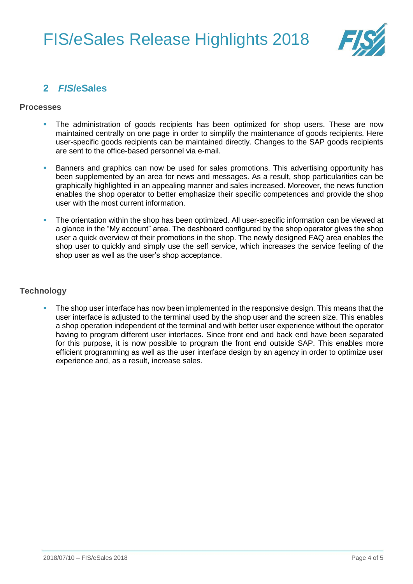

### <span id="page-3-0"></span>**2** *FIS***/eSales**

#### **Processes**

- The administration of goods recipients has been optimized for shop users. These are now maintained centrally on one page in order to simplify the maintenance of goods recipients. Here user-specific goods recipients can be maintained directly. Changes to the SAP goods recipients are sent to the office-based personnel via e-mail.
- Banners and graphics can now be used for sales promotions. This advertising opportunity has been supplemented by an area for news and messages. As a result, shop particularities can be graphically highlighted in an appealing manner and sales increased. Moreover, the news function enables the shop operator to better emphasize their specific competences and provide the shop user with the most current information.
- The orientation within the shop has been optimized. All user-specific information can be viewed at a glance in the "My account" area. The dashboard configured by the shop operator gives the shop user a quick overview of their promotions in the shop. The newly designed FAQ area enables the shop user to quickly and simply use the self service, which increases the service feeling of the shop user as well as the user's shop acceptance.

#### **Technology**

The shop user interface has now been implemented in the responsive design. This means that the user interface is adjusted to the terminal used by the shop user and the screen size. This enables a shop operation independent of the terminal and with better user experience without the operator having to program different user interfaces. Since front end and back end have been separated for this purpose, it is now possible to program the front end outside SAP. This enables more efficient programming as well as the user interface design by an agency in order to optimize user experience and, as a result, increase sales.